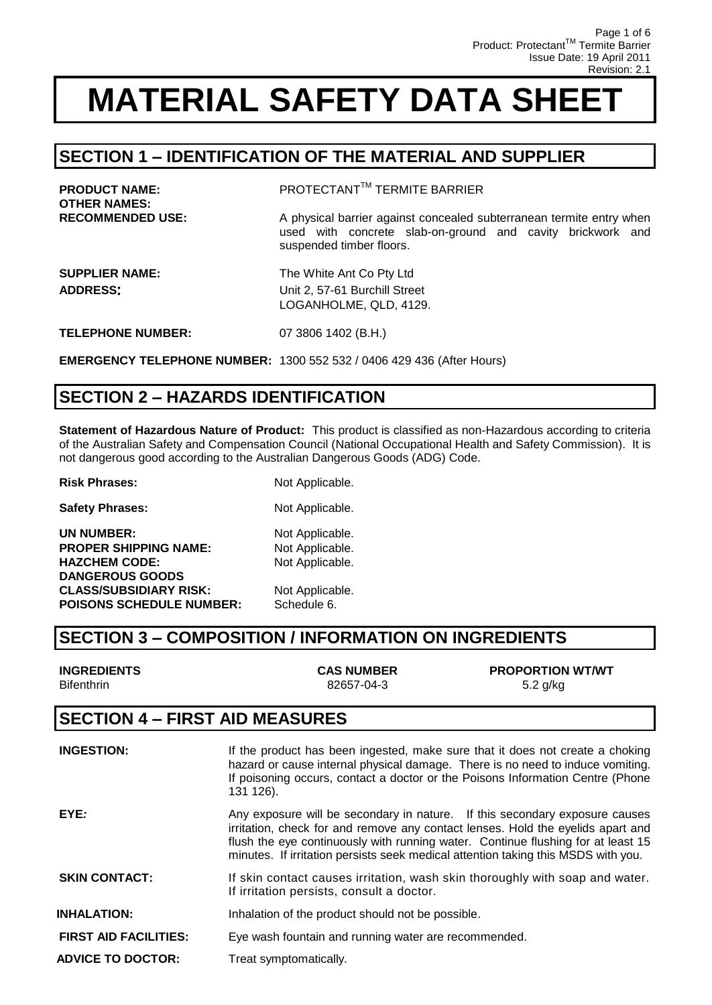### **SECTION 1 – IDENTIFICATION OF THE MATERIAL AND SUPPLIER**

| <b>PRODUCT NAME:</b><br><b>OTHER NAMES:</b> | PROTECTANT™ TERMITE BARRIER                                                                                                                                    |
|---------------------------------------------|----------------------------------------------------------------------------------------------------------------------------------------------------------------|
| <b>RECOMMENDED USE:</b>                     | A physical barrier against concealed subterranean termite entry when<br>used with concrete slab-on-ground and cavity brickwork and<br>suspended timber floors. |
| <b>SUPPLIER NAME:</b><br><b>ADDRESS:</b>    | The White Ant Co Pty Ltd<br>Unit 2, 57-61 Burchill Street<br>LOGANHOLME, QLD, 4129.                                                                            |
| <b>TELEPHONE NUMBER:</b>                    | 07 3806 1402 (B.H.)                                                                                                                                            |
|                                             | <b>EMERGENCY TELEPHONE NUMBER: 1300 552 532 / 0406 429 436 (After Hours)</b>                                                                                   |

### **SECTION 2 – HAZARDS IDENTIFICATION**

**Statement of Hazardous Nature of Product:** This product is classified as non-Hazardous according to criteria of the Australian Safety and Compensation Council (National Occupational Health and Safety Commission). It is not dangerous good according to the Australian Dangerous Goods (ADG) Code.

**Risk Phrases:** Not Applicable. **Safety Phrases:** Not Applicable. **UN NUMBER:** Not Applicable. **PROPER SHIPPING NAME:** Not Applicable. HAZCHEM CODE: Not Applicable. **DANGEROUS GOODS CLASS/SUBSIDIARY RISK:** Not Applicable. **POISONS SCHEDULE NUMBER:** Schedule 6.

### **SECTION 3 – COMPOSITION / INFORMATION ON INGREDIENTS**

| <b>INGREDIENTS</b> | <b>CAS NUMBER</b> | <b>PROPORTION WT/WT</b> |
|--------------------|-------------------|-------------------------|
| <b>Bifenthrin</b>  | 82657-04-3        | 5.2 g/kg                |
|                    |                   |                         |

#### **SECTION 4 – FIRST AID MEASURES**

| <b>INGESTION:</b>            | If the product has been ingested, make sure that it does not create a choking<br>hazard or cause internal physical damage. There is no need to induce vomiting.<br>If poisoning occurs, contact a doctor or the Poisons Information Centre (Phone<br>131 126).                                                                          |
|------------------------------|-----------------------------------------------------------------------------------------------------------------------------------------------------------------------------------------------------------------------------------------------------------------------------------------------------------------------------------------|
| EYE:                         | Any exposure will be secondary in nature. If this secondary exposure causes<br>irritation, check for and remove any contact lenses. Hold the eyelids apart and<br>flush the eye continuously with running water. Continue flushing for at least 15<br>minutes. If irritation persists seek medical attention taking this MSDS with you. |
| <b>SKIN CONTACT:</b>         | If skin contact causes irritation, wash skin thoroughly with soap and water.<br>If irritation persists, consult a doctor.                                                                                                                                                                                                               |
| <b>INHALATION:</b>           | Inhalation of the product should not be possible.                                                                                                                                                                                                                                                                                       |
| <b>FIRST AID FACILITIES:</b> | Eye wash fountain and running water are recommended.                                                                                                                                                                                                                                                                                    |
| <b>ADVICE TO DOCTOR:</b>     | Treat symptomatically.                                                                                                                                                                                                                                                                                                                  |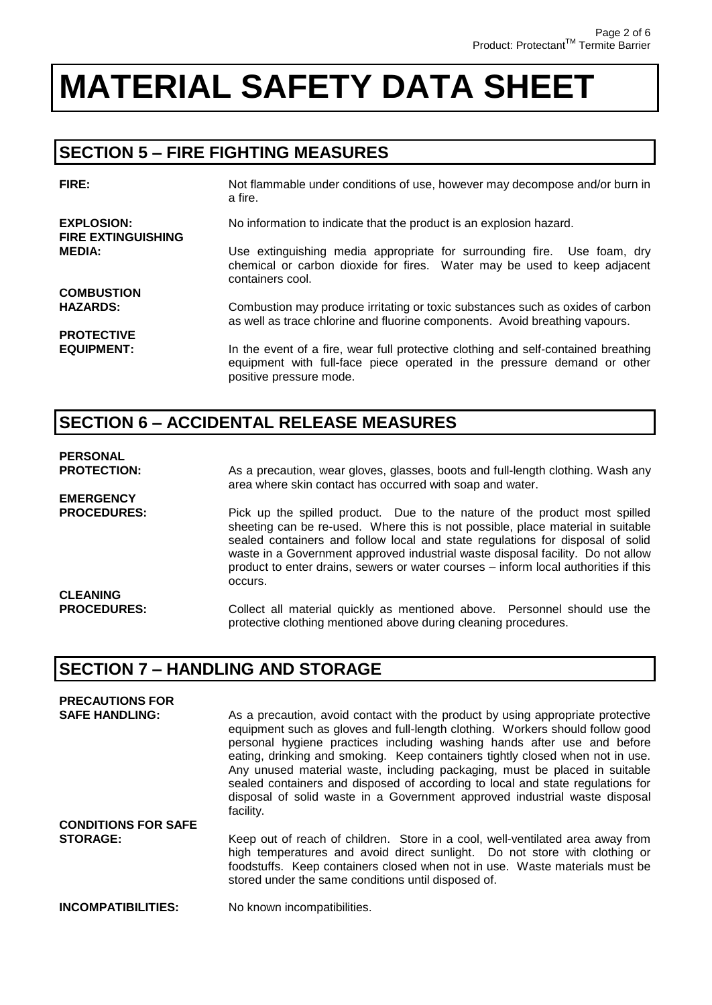### **SECTION 5 – FIRE FIGHTING MEASURES**

| FIRE:                                          | Not flammable under conditions of use, however may decompose and/or burn in<br>a fire.                                                                                                   |
|------------------------------------------------|------------------------------------------------------------------------------------------------------------------------------------------------------------------------------------------|
| <b>EXPLOSION:</b><br><b>FIRE EXTINGUISHING</b> | No information to indicate that the product is an explosion hazard.                                                                                                                      |
| <b>MEDIA:</b>                                  | Use extinguishing media appropriate for surrounding fire. Use foam, dry<br>chemical or carbon dioxide for fires. Water may be used to keep adjacent<br>containers cool.                  |
| <b>COMBUSTION</b>                              |                                                                                                                                                                                          |
| <b>HAZARDS:</b>                                | Combustion may produce irritating or toxic substances such as oxides of carbon<br>as well as trace chlorine and fluorine components. Avoid breathing vapours.                            |
| <b>PROTECTIVE</b>                              |                                                                                                                                                                                          |
| <b>EQUIPMENT:</b>                              | In the event of a fire, wear full protective clothing and self-contained breathing<br>equipment with full-face piece operated in the pressure demand or other<br>positive pressure mode. |

### **SECTION 6 – ACCIDENTAL RELEASE MEASURES**

#### **PERSONAL**

**EMERGENCY** 

**PROTECTION:** As a precaution, wear gloves, glasses, boots and full-length clothing. Wash any area where skin contact has occurred with soap and water.

PROCEDURES: Pick up the spilled product. Due to the nature of the product most spilled sheeting can be re-used. Where this is not possible, place material in suitable sealed containers and follow local and state regulations for disposal of solid waste in a Government approved industrial waste disposal facility. Do not allow product to enter drains, sewers or water courses – inform local authorities if this occurs. **CLEANING** 

**PROCEDURES:** Collect all material quickly as mentioned above. Personnel should use the protective clothing mentioned above during cleaning procedures.

### **SECTION 7 – HANDLING AND STORAGE**

| <b>PRECAUTIONS FOR</b>     |                                                                                                                                                                                                                                                                                                                                                                                                                                                                                                                                                                                         |
|----------------------------|-----------------------------------------------------------------------------------------------------------------------------------------------------------------------------------------------------------------------------------------------------------------------------------------------------------------------------------------------------------------------------------------------------------------------------------------------------------------------------------------------------------------------------------------------------------------------------------------|
| <b>SAFE HANDLING:</b>      | As a precaution, avoid contact with the product by using appropriate protective<br>equipment such as gloves and full-length clothing. Workers should follow good<br>personal hygiene practices including washing hands after use and before<br>eating, drinking and smoking. Keep containers tightly closed when not in use.<br>Any unused material waste, including packaging, must be placed in suitable<br>sealed containers and disposed of according to local and state regulations for<br>disposal of solid waste in a Government approved industrial waste disposal<br>facility. |
| <b>CONDITIONS FOR SAFE</b> |                                                                                                                                                                                                                                                                                                                                                                                                                                                                                                                                                                                         |
| <b>STORAGE:</b>            | Keep out of reach of children. Store in a cool, well-ventilated area away from<br>high temperatures and avoid direct sunlight. Do not store with clothing or<br>foodstuffs. Keep containers closed when not in use. Waste materials must be<br>stored under the same conditions until disposed of.                                                                                                                                                                                                                                                                                      |
| <b>INCOMPATIBILITIES:</b>  | No known incompatibilities.                                                                                                                                                                                                                                                                                                                                                                                                                                                                                                                                                             |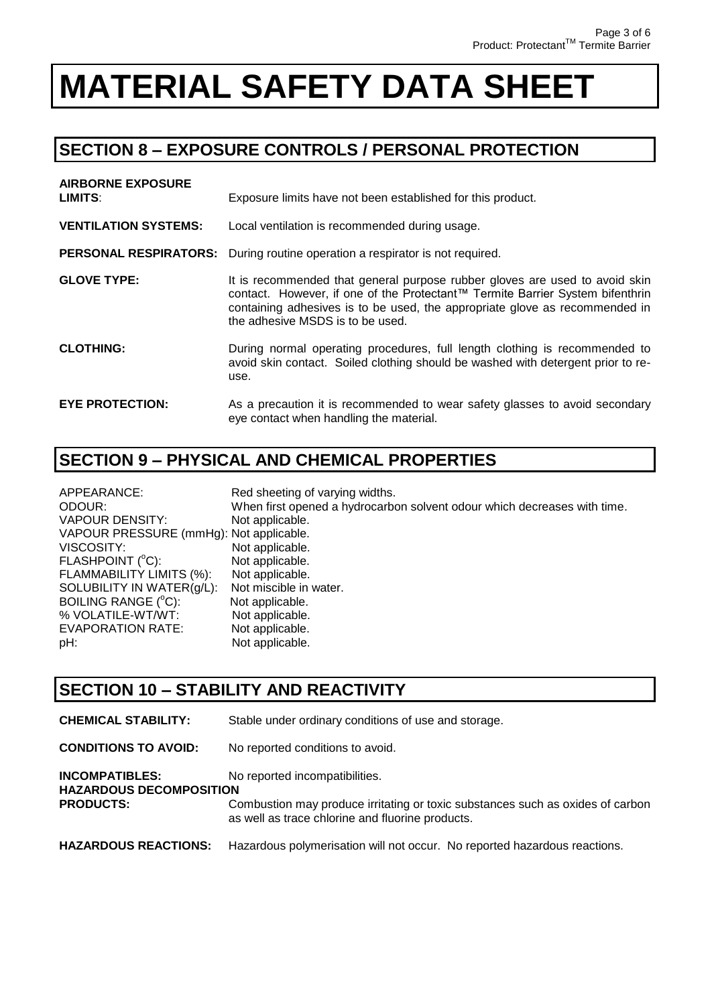### **SECTION 8 – EXPOSURE CONTROLS / PERSONAL PROTECTION**

| <b>AIRBORNE EXPOSURE</b><br><b>LIMITS:</b> | Exposure limits have not been established for this product.                                                                                                                                                                                                                     |
|--------------------------------------------|---------------------------------------------------------------------------------------------------------------------------------------------------------------------------------------------------------------------------------------------------------------------------------|
| <b>VENTILATION SYSTEMS:</b>                | Local ventilation is recommended during usage.                                                                                                                                                                                                                                  |
|                                            | <b>PERSONAL RESPIRATORS:</b> During routine operation a respirator is not required.                                                                                                                                                                                             |
| <b>GLOVE TYPE:</b>                         | It is recommended that general purpose rubber gloves are used to avoid skin<br>contact. However, if one of the Protectant™ Termite Barrier System bifenthrin<br>containing adhesives is to be used, the appropriate glove as recommended in<br>the adhesive MSDS is to be used. |
| <b>CLOTHING:</b>                           | During normal operating procedures, full length clothing is recommended to<br>avoid skin contact. Soiled clothing should be washed with detergent prior to re-<br>use.                                                                                                          |
| <b>EYE PROTECTION:</b>                     | As a precaution it is recommended to wear safety glasses to avoid secondary<br>eye contact when handling the material.                                                                                                                                                          |

### **SECTION 9 – PHYSICAL AND CHEMICAL PROPERTIES**

| APPEARANCE:                             | Red sheeting of varying widths.                                          |
|-----------------------------------------|--------------------------------------------------------------------------|
| ODOUR:                                  | When first opened a hydrocarbon solvent odour which decreases with time. |
| VAPOUR DENSITY:                         | Not applicable.                                                          |
| VAPOUR PRESSURE (mmHg): Not applicable. |                                                                          |
| VISCOSITY:                              | Not applicable.                                                          |
| FLASHPOINT (°C):                        | Not applicable.                                                          |
| FLAMMABILITY LIMITS (%):                | Not applicable.                                                          |
| SOLUBILITY IN WATER(g/L):               | Not miscible in water.                                                   |
| BOILING RANGE (°C):                     | Not applicable.                                                          |
| % VOLATILE-WT/WT:                       | Not applicable.                                                          |
| <b>EVAPORATION RATE:</b>                | Not applicable.                                                          |
| pH:                                     | Not applicable.                                                          |

### **SECTION 10 – STABILITY AND REACTIVITY**

| <b>CHEMICAL STABILITY:</b>                                                  | Stable under ordinary conditions of use and storage.                                                                                                                 |
|-----------------------------------------------------------------------------|----------------------------------------------------------------------------------------------------------------------------------------------------------------------|
| <b>CONDITIONS TO AVOID:</b>                                                 | No reported conditions to avoid.                                                                                                                                     |
| <b>INCOMPATIBLES:</b><br><b>HAZARDOUS DECOMPOSITION</b><br><b>PRODUCTS:</b> | No reported incompatibilities.<br>Combustion may produce irritating or toxic substances such as oxides of carbon<br>as well as trace chlorine and fluorine products. |
| <b>HAZARDOUS REACTIONS:</b>                                                 | Hazardous polymerisation will not occur. No reported hazardous reactions.                                                                                            |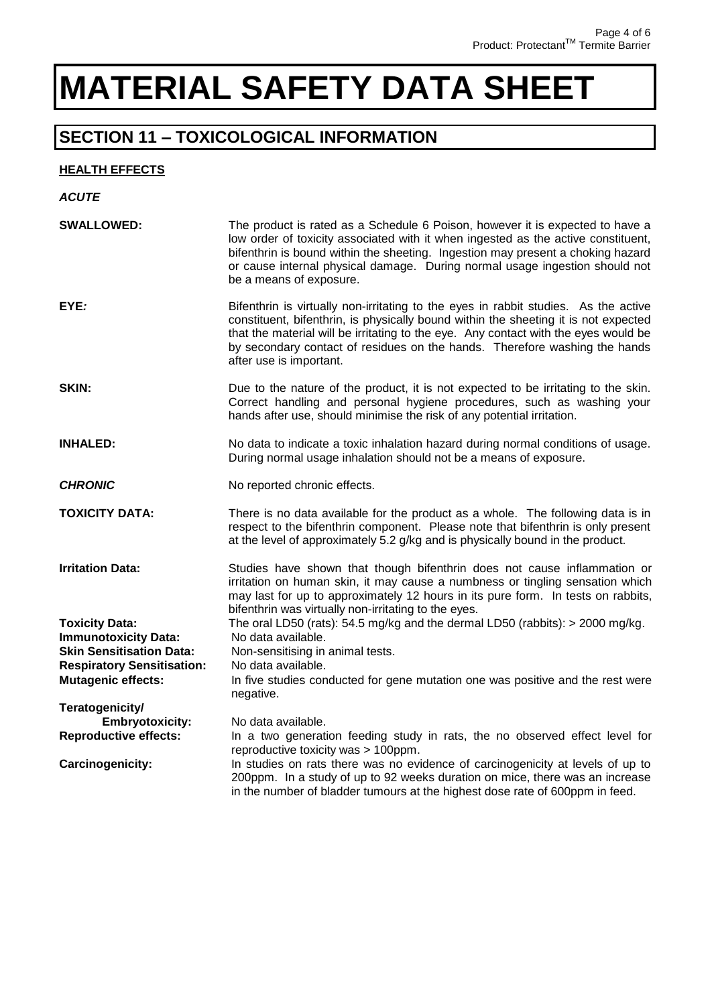### **SECTION 11 – TOXICOLOGICAL INFORMATION**

#### **HEALTH EFFECTS**

| <b>ACUTE</b>                                                   |                                                                                                                                                                                                                                                                                                                                                                            |
|----------------------------------------------------------------|----------------------------------------------------------------------------------------------------------------------------------------------------------------------------------------------------------------------------------------------------------------------------------------------------------------------------------------------------------------------------|
| <b>SWALLOWED:</b>                                              | The product is rated as a Schedule 6 Poison, however it is expected to have a<br>low order of toxicity associated with it when ingested as the active constituent,<br>bifenthrin is bound within the sheeting. Ingestion may present a choking hazard<br>or cause internal physical damage. During normal usage ingestion should not<br>be a means of exposure.            |
| EYE:                                                           | Bifenthrin is virtually non-irritating to the eyes in rabbit studies. As the active<br>constituent, bifenthrin, is physically bound within the sheeting it is not expected<br>that the material will be irritating to the eye. Any contact with the eyes would be<br>by secondary contact of residues on the hands. Therefore washing the hands<br>after use is important. |
| SKIN:                                                          | Due to the nature of the product, it is not expected to be irritating to the skin.<br>Correct handling and personal hygiene procedures, such as washing your<br>hands after use, should minimise the risk of any potential irritation.                                                                                                                                     |
| <b>INHALED:</b>                                                | No data to indicate a toxic inhalation hazard during normal conditions of usage.<br>During normal usage inhalation should not be a means of exposure.                                                                                                                                                                                                                      |
| <b>CHRONIC</b>                                                 | No reported chronic effects.                                                                                                                                                                                                                                                                                                                                               |
| <b>TOXICITY DATA:</b>                                          | There is no data available for the product as a whole. The following data is in<br>respect to the bifenthrin component. Please note that bifenthrin is only present<br>at the level of approximately 5.2 g/kg and is physically bound in the product.                                                                                                                      |
| <b>Irritation Data:</b>                                        | Studies have shown that though bifenthrin does not cause inflammation or<br>irritation on human skin, it may cause a numbness or tingling sensation which<br>may last for up to approximately 12 hours in its pure form. In tests on rabbits,<br>bifenthrin was virtually non-irritating to the eyes.                                                                      |
| <b>Toxicity Data:</b>                                          | The oral LD50 (rats): $54.5$ mg/kg and the dermal LD50 (rabbits): $>$ 2000 mg/kg.                                                                                                                                                                                                                                                                                          |
| <b>Immunotoxicity Data:</b>                                    | No data available.                                                                                                                                                                                                                                                                                                                                                         |
| <b>Skin Sensitisation Data:</b>                                | Non-sensitising in animal tests.                                                                                                                                                                                                                                                                                                                                           |
| <b>Respiratory Sensitisation:</b><br><b>Mutagenic effects:</b> | No data available.<br>In five studies conducted for gene mutation one was positive and the rest were                                                                                                                                                                                                                                                                       |
|                                                                | negative.                                                                                                                                                                                                                                                                                                                                                                  |
| Teratogenicity/                                                |                                                                                                                                                                                                                                                                                                                                                                            |
| <b>Embryotoxicity:</b>                                         | No data available.                                                                                                                                                                                                                                                                                                                                                         |
| <b>Reproductive effects:</b>                                   | In a two generation feeding study in rats, the no observed effect level for<br>reproductive toxicity was > 100ppm.                                                                                                                                                                                                                                                         |
| <b>Carcinogenicity:</b>                                        | In studies on rats there was no evidence of carcinogenicity at levels of up to<br>200ppm. In a study of up to 92 weeks duration on mice, there was an increase<br>in the number of bladder tumours at the highest dose rate of 600ppm in feed.                                                                                                                             |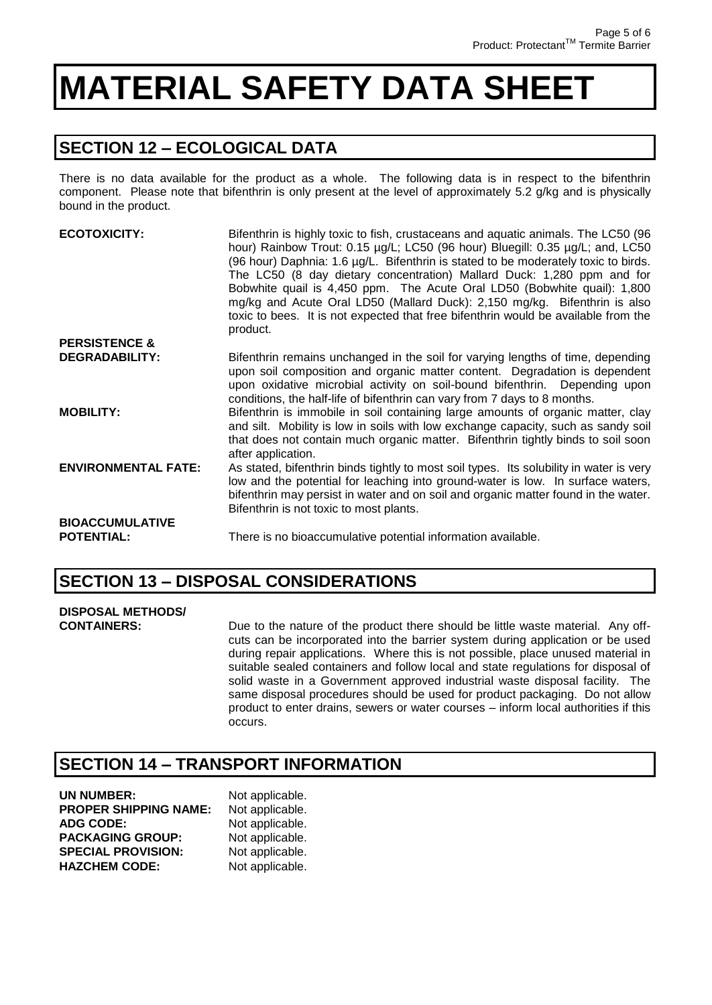### **SECTION 12 – ECOLOGICAL DATA**

There is no data available for the product as a whole. The following data is in respect to the bifenthrin component. Please note that bifenthrin is only present at the level of approximately 5.2 g/kg and is physically bound in the product.

| <b>ECOTOXICITY:</b>                         | Bifenthrin is highly toxic to fish, crustaceans and aquatic animals. The LC50 (96<br>hour) Rainbow Trout: 0.15 µg/L; LC50 (96 hour) Bluegill: 0.35 µg/L; and, LC50<br>(96 hour) Daphnia: 1.6 µg/L. Bifenthrin is stated to be moderately toxic to birds.<br>The LC50 (8 day dietary concentration) Mallard Duck: 1,280 ppm and for<br>Bobwhite quail is 4,450 ppm. The Acute Oral LD50 (Bobwhite quail): 1,800<br>mg/kg and Acute Oral LD50 (Mallard Duck): 2,150 mg/kg. Bifenthrin is also<br>toxic to bees. It is not expected that free bifenthrin would be available from the<br>product. |
|---------------------------------------------|-----------------------------------------------------------------------------------------------------------------------------------------------------------------------------------------------------------------------------------------------------------------------------------------------------------------------------------------------------------------------------------------------------------------------------------------------------------------------------------------------------------------------------------------------------------------------------------------------|
| <b>PERSISTENCE &amp;</b>                    |                                                                                                                                                                                                                                                                                                                                                                                                                                                                                                                                                                                               |
| <b>DEGRADABILITY:</b>                       | Bifenthrin remains unchanged in the soil for varying lengths of time, depending<br>upon soil composition and organic matter content. Degradation is dependent<br>upon oxidative microbial activity on soil-bound bifenthrin. Depending upon<br>conditions, the half-life of bifenthrin can vary from 7 days to 8 months.                                                                                                                                                                                                                                                                      |
| <b>MOBILITY:</b>                            | Bifenthrin is immobile in soil containing large amounts of organic matter, clay<br>and silt. Mobility is low in soils with low exchange capacity, such as sandy soil<br>that does not contain much organic matter. Bifenthrin tightly binds to soil soon<br>after application.                                                                                                                                                                                                                                                                                                                |
| <b>ENVIRONMENTAL FATE:</b>                  | As stated, bifenthrin binds tightly to most soil types. Its solubility in water is very<br>low and the potential for leaching into ground-water is low. In surface waters,<br>bifenthrin may persist in water and on soil and organic matter found in the water.<br>Bifenthrin is not toxic to most plants.                                                                                                                                                                                                                                                                                   |
| <b>BIOACCUMULATIVE</b><br><b>POTENTIAL:</b> | There is no bioaccumulative potential information available.                                                                                                                                                                                                                                                                                                                                                                                                                                                                                                                                  |

#### **SECTION 13 – DISPOSAL CONSIDERATIONS**

### **DISPOSAL METHODS/**

**CONTAINERS:** Due to the nature of the product there should be little waste material. Any offcuts can be incorporated into the barrier system during application or be used during repair applications. Where this is not possible, place unused material in suitable sealed containers and follow local and state regulations for disposal of solid waste in a Government approved industrial waste disposal facility. The same disposal procedures should be used for product packaging. Do not allow product to enter drains, sewers or water courses – inform local authorities if this occurs.

### **SECTION 14 – TRANSPORT INFORMATION**

| UN NUMBER:                   | Not applicable. |
|------------------------------|-----------------|
| <b>PROPER SHIPPING NAME:</b> | Not applicable. |
| <b>ADG CODE:</b>             | Not applicable. |
| <b>PACKAGING GROUP:</b>      | Not applicable. |
| <b>SPECIAL PROVISION:</b>    | Not applicable. |
| <b>HAZCHEM CODE:</b>         | Not applicable. |